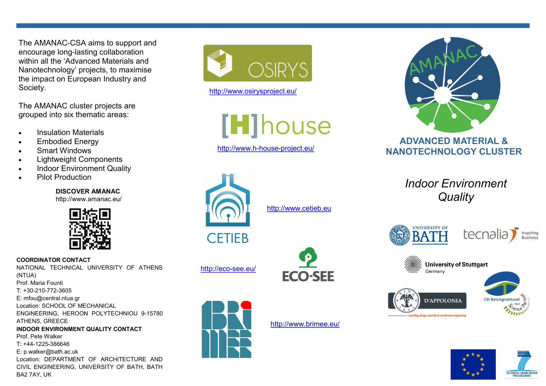The AMANAC-CSA aims to support and encourage long-lasting collaboration within all the 'Advanced Materials and Nanotechnology' projects, to maximise the impact on European Industry and Society.

The AMANAC cluster projects are grouped into six thematic areas:

- Insulation Materials
- Embodied Energy
- Smart Windows
- Lightweight Components
- Indoor Environment Quality
- Pilot Production

**DISCOVER AMANAC** http://www.amanac.eu/



**COORDINATOR CONTACT** NATIONAL TECHNICAL UNIVERSITY OF ATHENS (NTUA) Prof. Maria Founti T: +30-210-772-3605 E: mfou@central.ntua.gr Location: SCHOOL OF MECHANICAL ENGINEERING, HEROON POLYTECHNIOU 9-15780 ATHENS, GREECE **INDOOR ENVIRONMENT QUALITY CONTACT** Prof. Pete Walker T: +44-1225-386646 E: p.walker@bath.ac.uk Location: DEPARTMENT OF ARCHITECTURE AND CIVIL ENGINEERING, UNIVERSITY OF BATH, BATH BA2 7AY, UK



http://www.osirysproject.eu/

[H]house

http://www.h-house-project.eu/



<http://www.cetieb.eu>





http://eco-see.eu/

http://www.brimee.eu/



# **ADVANCED MATERIAL & NANOTECHNOLOGY CLUSTER**

*Indoor Environment Quality*



| ਸਰਮਰ | Inspiring<br><b>Business</b> |
|------|------------------------------|
|      |                              |





**SEVENTH FRAMEWO**